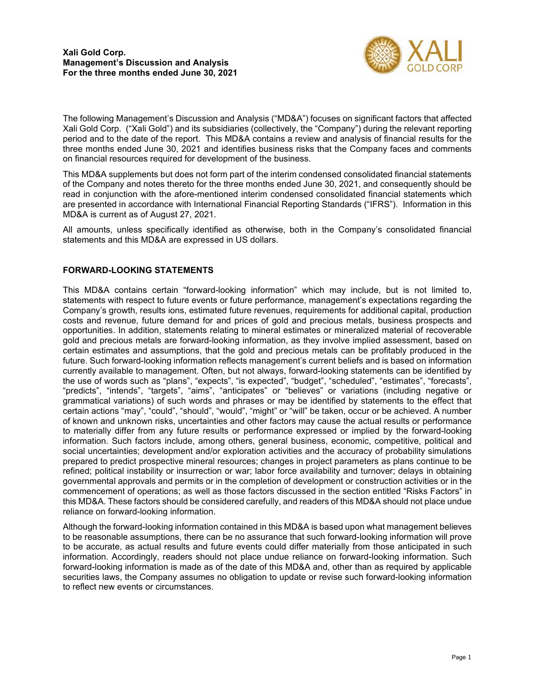

The following Management's Discussion and Analysis ("MD&A") focuses on significant factors that affected Xali Gold Corp. ("Xali Gold") and its subsidiaries (collectively, the "Company") during the relevant reporting period and to the date of the report. This MD&A contains a review and analysis of financial results for the three months ended June 30, 2021 and identifies business risks that the Company faces and comments on financial resources required for development of the business.

This MD&A supplements but does not form part of the interim condensed consolidated financial statements of the Company and notes thereto for the three months ended June 30, 2021, and consequently should be read in conjunction with the afore-mentioned interim condensed consolidated financial statements which are presented in accordance with International Financial Reporting Standards ("IFRS"). Information in this MD&A is current as of August 27, 2021.

All amounts, unless specifically identified as otherwise, both in the Company's consolidated financial statements and this MD&A are expressed in US dollars.

# **FORWARD-LOOKING STATEMENTS**

This MD&A contains certain "forward-looking information" which may include, but is not limited to, statements with respect to future events or future performance, management's expectations regarding the Company's growth, results ions, estimated future revenues, requirements for additional capital, production costs and revenue, future demand for and prices of gold and precious metals, business prospects and opportunities. In addition, statements relating to mineral estimates or mineralized material of recoverable gold and precious metals are forward-looking information, as they involve implied assessment, based on certain estimates and assumptions, that the gold and precious metals can be profitably produced in the future. Such forward-looking information reflects management's current beliefs and is based on information currently available to management. Often, but not always, forward-looking statements can be identified by the use of words such as "plans", "expects", "is expected", "budget", "scheduled", "estimates", "forecasts", "predicts", "intends", "targets", "aims", "anticipates" or "believes" or variations (including negative or grammatical variations) of such words and phrases or may be identified by statements to the effect that certain actions "may", "could", "should", "would", "might" or "will" be taken, occur or be achieved. A number of known and unknown risks, uncertainties and other factors may cause the actual results or performance to materially differ from any future results or performance expressed or implied by the forward-looking information. Such factors include, among others, general business, economic, competitive, political and social uncertainties; development and/or exploration activities and the accuracy of probability simulations prepared to predict prospective mineral resources; changes in project parameters as plans continue to be refined; political instability or insurrection or war; labor force availability and turnover; delays in obtaining governmental approvals and permits or in the completion of development or construction activities or in the commencement of operations; as well as those factors discussed in the section entitled "Risks Factors" in this MD&A. These factors should be considered carefully, and readers of this MD&A should not place undue reliance on forward-looking information.

Although the forward-looking information contained in this MD&A is based upon what management believes to be reasonable assumptions, there can be no assurance that such forward-looking information will prove to be accurate, as actual results and future events could differ materially from those anticipated in such information. Accordingly, readers should not place undue reliance on forward-looking information. Such forward-looking information is made as of the date of this MD&A and, other than as required by applicable securities laws, the Company assumes no obligation to update or revise such forward-looking information to reflect new events or circumstances.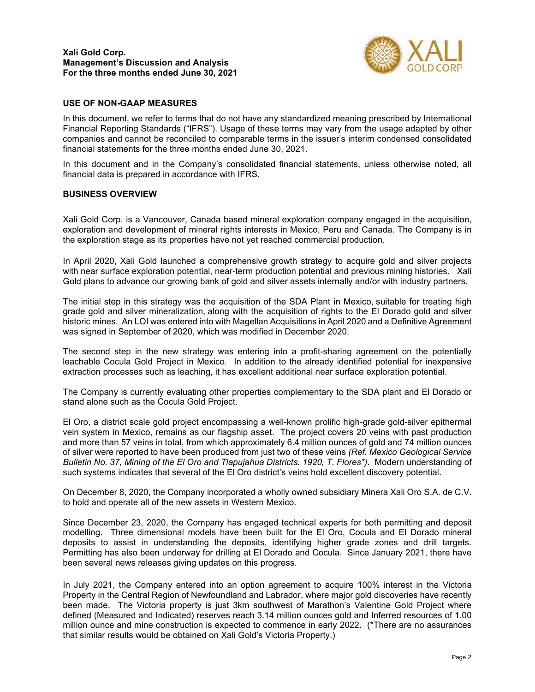

## **USE OF NON-GAAP MEASURES**

In this document, we refer to terms that do not have any standardized meaning prescribed by International Financial Reporting Standards ("IFRS"). Usage of these terms may vary from the usage adapted by other companies and cannot be reconciled to comparable terms in the issuer's interim condensed consolidated financial statements for the three months ended June 30, 2021.

In this document and in the Company's consolidated financial statements, unless otherwise noted, all financial data is prepared in accordance with IFRS.

## **BUSINESS OVERVIEW**

Xali Gold Corp. is a Vancouver, Canada based mineral exploration company engaged in the acquisition, exploration and development of mineral rights interests in Mexico, Peru and Canada. The Company is in the exploration stage as its properties have not yet reached commercial production.

In April 2020, Xali Gold launched a comprehensive growth strategy to acquire gold and silver projects with near surface exploration potential, near-term production potential and previous mining histories. Xali Gold plans to advance our growing bank of gold and silver assets internally and/or with industry partners.

The initial step in this strategy was the acquisition of the SDA Plant in Mexico, suitable for treating high grade gold and silver mineralization, along with the acquisition of rights to the El Dorado gold and silver historic mines. An LOI was entered into with Magellan Acquisitions in April 2020 and a Definitive Agreement was signed in September of 2020, which was modified in December 2020.

The second step in the new strategy was entering into a profit-sharing agreement on the potentially leachable Cocula Gold Project in Mexico. In addition to the already identified potential for inexpensive extraction processes such as leaching, it has excellent additional near surface exploration potential.

The Company is currently evaluating other properties complementary to the SDA plant and El Dorado or stand alone such as the Cocula Gold Project.

El Oro, a district scale gold project encompassing a well-known prolific high-grade gold-silver epithermal vein system in Mexico, remains as our flagship asset. The project covers 20 veins with past production and more than 57 veins in total, from which approximately 6.4 million ounces of gold and 74 million ounces of silver were reported to have been produced from just two of these veins *(Ref. Mexico Geological Service Bulletin No. 37, Mining of the El Oro and Tlapujahua Districts. 1920, T. Flores\*).* Modern understanding of such systems indicates that several of the El Oro district's veins hold excellent discovery potential.

On December 8, 2020, the Company incorporated a wholly owned subsidiary Minera Xali Oro S.A. de C.V. to hold and operate all of the new assets in Western Mexico.

Since December 23, 2020, the Company has engaged technical experts for both permitting and deposit modelling. Three dimensional models have been built for the El Oro, Cocula and El Dorado mineral deposits to assist in understanding the deposits, identifying higher grade zones and drill targets. Permitting has also been underway for drilling at El Dorado and Cocula. Since January 2021, there have been several news releases giving updates on this progress.

In July 2021, the Company entered into an option agreement to acquire 100% interest in the Victoria Property in the Central Region of Newfoundland and Labrador, where major gold discoveries have recently been made. The Victoria property is just 3km southwest of Marathon's Valentine Gold Project where defined (Measured and Indicated) reserves reach 3.14 million ounces gold and Inferred resources of 1.00 million ounce and mine construction is expected to commence in early 2022. (\*There are no assurances that similar results would be obtained on Xali Gold's Victoria Property.)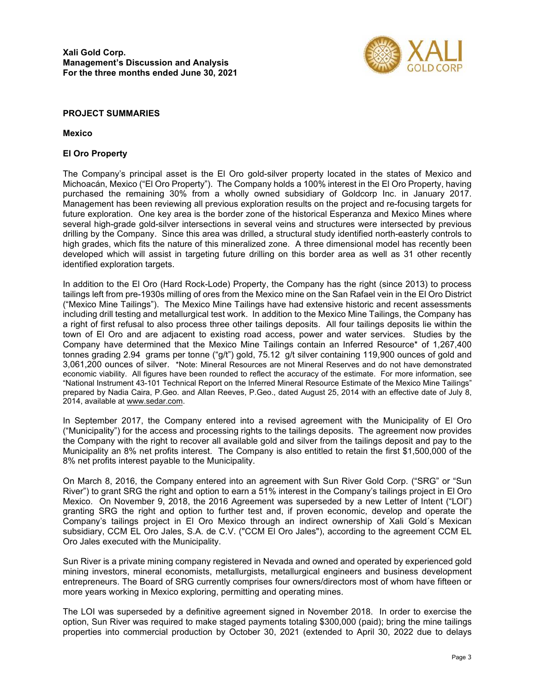

## **PROJECT SUMMARIES**

**Mexico** 

## **El Oro Property**

The Company's principal asset is the El Oro gold-silver property located in the states of Mexico and Michoacán, Mexico ("El Oro Property"). The Company holds a 100% interest in the El Oro Property, having purchased the remaining 30% from a wholly owned subsidiary of Goldcorp Inc. in January 2017. Management has been reviewing all previous exploration results on the project and re-focusing targets for future exploration. One key area is the border zone of the historical Esperanza and Mexico Mines where several high-grade gold-silver intersections in several veins and structures were intersected by previous drilling by the Company. Since this area was drilled, a structural study identified north-easterly controls to high grades, which fits the nature of this mineralized zone. A three dimensional model has recently been developed which will assist in targeting future drilling on this border area as well as 31 other recently identified exploration targets.

In addition to the El Oro (Hard Rock-Lode) Property, the Company has the right (since 2013) to process tailings left from pre-1930s milling of ores from the Mexico mine on the San Rafael vein in the El Oro District ("Mexico Mine Tailings"). The Mexico Mine Tailings have had extensive historic and recent assessments including drill testing and metallurgical test work. In addition to the Mexico Mine Tailings, the Company has a right of first refusal to also process three other tailings deposits. All four tailings deposits lie within the town of El Oro and are adjacent to existing road access, power and water services. Studies by the Company have determined that the Mexico Mine Tailings contain an Inferred Resource\* of 1,267,400 tonnes grading 2.94 grams per tonne ("g/t") gold, 75.12 g/t silver containing 119,900 ounces of gold and 3,061,200 ounces of silver. \*Note: Mineral Resources are not Mineral Reserves and do not have demonstrated economic viability. All figures have been rounded to reflect the accuracy of the estimate. For more information, see "National Instrument 43-101 Technical Report on the Inferred Mineral Resource Estimate of the Mexico Mine Tailings" prepared by Nadia Caira, P.Geo. and Allan Reeves, P.Geo., dated August 25, 2014 with an effective date of July 8, 2014, available at <u>www.sedar.com</u>.

In September 2017, the Company entered into a revised agreement with the Municipality of El Oro ("Municipality") for the access and processing rights to the tailings deposits. The agreement now provides the Company with the right to recover all available gold and silver from the tailings deposit and pay to the Municipality an 8% net profits interest. The Company is also entitled to retain the first \$1,500,000 of the 8% net profits interest payable to the Municipality.

On March 8, 2016, the Company entered into an agreement with Sun River Gold Corp. ("SRG" or "Sun River") to grant SRG the right and option to earn a 51% interest in the Company's tailings project in El Oro Mexico. On November 9, 2018, the 2016 Agreement was superseded by a new Letter of Intent ("LOI") granting SRG the right and option to further test and, if proven economic, develop and operate the Company's tailings project in El Oro Mexico through an indirect ownership of Xali Gold´s Mexican subsidiary, CCM EL Oro Jales, S.A. de C.V. ("CCM El Oro Jales"), according to the agreement CCM EL Oro Jales executed with the Municipality.

Sun River is a private mining company registered in Nevada and owned and operated by experienced gold mining investors, mineral economists, metallurgists, metallurgical engineers and business development entrepreneurs. The Board of SRG currently comprises four owners/directors most of whom have fifteen or more years working in Mexico exploring, permitting and operating mines.

The LOI was superseded by a definitive agreement signed in November 2018. In order to exercise the option, Sun River was required to make staged payments totaling \$300,000 (paid); bring the mine tailings properties into commercial production by October 30, 2021 (extended to April 30, 2022 due to delays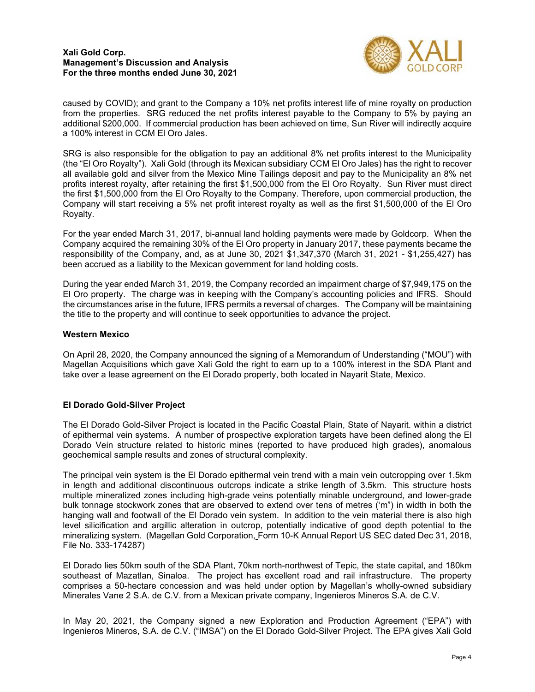## **Xali Gold Corp. Management's Discussion and Analysis For the three months ended June 30, 2021**



caused by COVID); and grant to the Company a 10% net profits interest life of mine royalty on production from the properties. SRG reduced the net profits interest payable to the Company to 5% by paying an additional \$200,000. If commercial production has been achieved on time, Sun River will indirectly acquire a 100% interest in CCM El Oro Jales.

SRG is also responsible for the obligation to pay an additional 8% net profits interest to the Municipality (the "El Oro Royalty"). Xali Gold (through its Mexican subsidiary CCM El Oro Jales) has the right to recover all available gold and silver from the Mexico Mine Tailings deposit and pay to the Municipality an 8% net profits interest royalty, after retaining the first \$1,500,000 from the El Oro Royalty. Sun River must direct the first \$1,500,000 from the El Oro Royalty to the Company. Therefore, upon commercial production, the Company will start receiving a 5% net profit interest royalty as well as the first \$1,500,000 of the El Oro Royalty.

For the year ended March 31, 2017, bi-annual land holding payments were made by Goldcorp. When the Company acquired the remaining 30% of the El Oro property in January 2017, these payments became the responsibility of the Company, and, as at June 30, 2021 \$1,347,370 (March 31, 2021 - \$1,255,427) has been accrued as a liability to the Mexican government for land holding costs.

During the year ended March 31, 2019, the Company recorded an impairment charge of \$7,949,175 on the El Oro property. The charge was in keeping with the Company's accounting policies and IFRS. Should the circumstances arise in the future, IFRS permits a reversal of charges. The Company will be maintaining the title to the property and will continue to seek opportunities to advance the project.

# **Western Mexico**

On April 28, 2020, the Company announced the signing of a Memorandum of Understanding ("MOU") with Magellan Acquisitions which gave Xali Gold the right to earn up to a 100% interest in the SDA Plant and take over a lease agreement on the El Dorado property, both located in Nayarit State, Mexico.

# **El Dorado Gold-Silver Project**

The El Dorado Gold-Silver Project is located in the Pacific Coastal Plain, State of Nayarit. within a district of epithermal vein systems. A number of prospective exploration targets have been defined along the El Dorado Vein structure related to historic mines (reported to have produced high grades), anomalous geochemical sample results and zones of structural complexity.

The principal vein system is the El Dorado epithermal vein trend with a main vein outcropping over 1.5km in length and additional discontinuous outcrops indicate a strike length of 3.5km. This structure hosts multiple mineralized zones including high-grade veins potentially minable underground, and lower-grade bulk tonnage stockwork zones that are observed to extend over tens of metres ('m") in width in both the hanging wall and footwall of the El Dorado vein system. In addition to the vein material there is also high level silicification and argillic alteration in outcrop, potentially indicative of good depth potential to the mineralizing system. (Magellan Gold Corporation, Form 10-K Annual Report US SEC dated Dec 31, 2018, File No. 333-174287)

El Dorado lies 50km south of the SDA Plant, 70km north-northwest of Tepic, the state capital, and 180km southeast of Mazatlan, Sinaloa. The project has excellent road and rail infrastructure. The property comprises a 50-hectare concession and was held under option by Magellan's wholly-owned subsidiary Minerales Vane 2 S.A. de C.V. from a Mexican private company, Ingenieros Mineros S.A. de C.V.

In May 20, 2021, the Company signed a new Exploration and Production Agreement ("EPA") with Ingenieros Mineros, S.A. de C.V. ("IMSA") on the El Dorado Gold-Silver Project. The EPA gives Xali Gold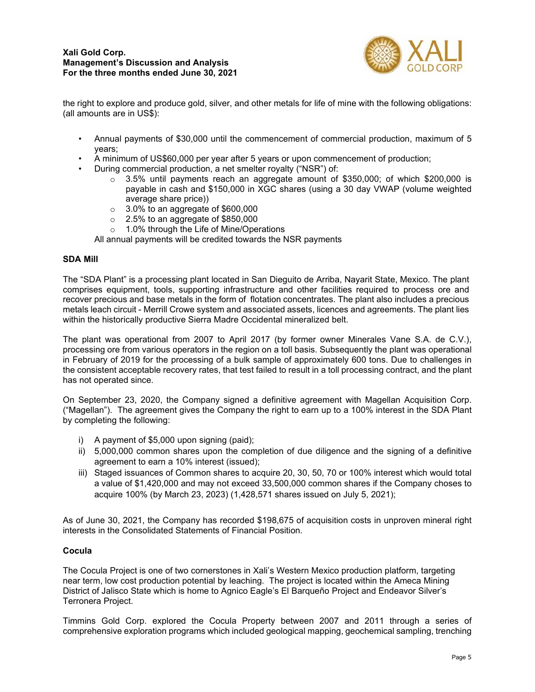

the right to explore and produce gold, silver, and other metals for life of mine with the following obligations: (all amounts are in US\$):

- Annual payments of \$30,000 until the commencement of commercial production, maximum of 5 years;
- A minimum of US\$60,000 per year after 5 years or upon commencement of production;
- During commercial production, a net smelter royalty ("NSR") of:
	- $\circ$  3.5% until payments reach an aggregate amount of \$350,000; of which \$200,000 is payable in cash and \$150,000 in XGC shares (using a 30 day VWAP (volume weighted average share price))
	- $\circ$  3.0% to an aggregate of \$600,000
	- $\circ$  2.5% to an aggregate of \$850,000
	- o 1.0% through the Life of Mine/Operations

All annual payments will be credited towards the NSR payments

## **SDA Mill**

The "SDA Plant" is a processing plant located in San Dieguito de Arriba, Nayarit State, Mexico. The plant comprises equipment, tools, supporting infrastructure and other facilities required to process ore and recover precious and base metals in the form of flotation concentrates. The plant also includes a precious metals leach circuit - Merrill Crowe system and associated assets, licences and agreements. The plant lies within the historically productive Sierra Madre Occidental mineralized belt.

The plant was operational from 2007 to April 2017 (by former owner Minerales Vane S.A. de C.V.), processing ore from various operators in the region on a toll basis. Subsequently the plant was operational in February of 2019 for the processing of a bulk sample of approximately 600 tons. Due to challenges in the consistent acceptable recovery rates, that test failed to result in a toll processing contract, and the plant has not operated since.

On September 23, 2020, the Company signed a definitive agreement with Magellan Acquisition Corp. ("Magellan"). The agreement gives the Company the right to earn up to a 100% interest in the SDA Plant by completing the following:

- i) A payment of \$5,000 upon signing (paid);
- ii) 5,000,000 common shares upon the completion of due diligence and the signing of a definitive agreement to earn a 10% interest (issued);
- iii) Staged issuances of Common shares to acquire 20, 30, 50, 70 or 100% interest which would total a value of \$1,420,000 and may not exceed 33,500,000 common shares if the Company choses to acquire 100% (by March 23, 2023) (1,428,571 shares issued on July 5, 2021);

As of June 30, 2021, the Company has recorded \$198,675 of acquisition costs in unproven mineral right interests in the Consolidated Statements of Financial Position.

## **Cocula**

The Cocula Project is one of two cornerstones in Xali's Western Mexico production platform, targeting near term, low cost production potential by leaching. The project is located within the Ameca Mining District of Jalisco State which is home to Agnico Eagle's El Barqueño Project and Endeavor Silver's Terronera Project.

Timmins Gold Corp. explored the Cocula Property between 2007 and 2011 through a series of comprehensive exploration programs which included geological mapping, geochemical sampling, trenching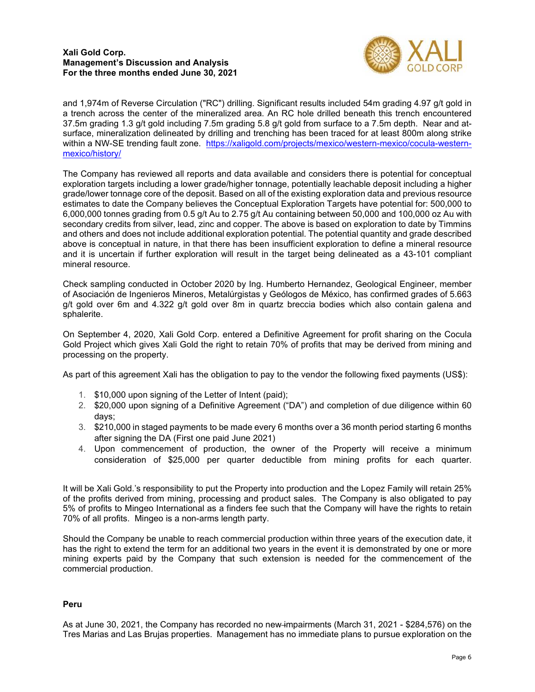## **Xali Gold Corp. Management's Discussion and Analysis For the three months ended June 30, 2021**



and 1,974m of Reverse Circulation ("RC") drilling. Significant results included 54m grading 4.97 g/t gold in a trench across the center of the mineralized area. An RC hole drilled beneath this trench encountered 37.5m grading 1.3 g/t gold including 7.5m grading 5.8 g/t gold from surface to a 7.5m depth. Near and atsurface, mineralization delineated by drilling and trenching has been traced for at least 800m along strike within a NW-S[E trending fault zone. h](https://xaligold.com/projects/mexico/western-mexico/cocula-western-mexico/history/)ttps://xaligold.com/projects/mexico/western-mexico/cocula-westernmexico/history/

The Company has reviewed all reports and data available and considers there is potential for conceptual exploration targets including a lower grade/higher tonnage, potentially leachable deposit including a higher grade/lower tonnage core of the deposit. Based on all of the existing exploration data and previous resource estimates to date the Company believes the Conceptual Exploration Targets have potential for: 500,000 to 6,000,000 tonnes grading from 0.5 g/t Au to 2.75 g/t Au containing between 50,000 and 100,000 oz Au with secondary credits from silver, lead, zinc and copper. The above is based on exploration to date by Timmins and others and does not include additional exploration potential. The potential quantity and grade described above is conceptual in nature, in that there has been insufficient exploration to define a mineral resource and it is uncertain if further exploration will result in the target being delineated as a 43-101 compliant mineral resource.

Check sampling conducted in October 2020 by Ing. Humberto Hernandez, Geological Engineer, member of Asociación de Ingenieros Mineros, Metalúrgistas y Geólogos de México, has confirmed grades of 5.663 g/t gold over 6m and 4.322 g/t gold over 8m in quartz breccia bodies which also contain galena and sphalerite.

On September 4, 2020, Xali Gold Corp. entered a Definitive Agreement for profit sharing on the Cocula Gold Project which gives Xali Gold the right to retain 70% of profits that may be derived from mining and processing on the property.

As part of this agreement Xali has the obligation to pay to the vendor the following fixed payments (US\$):

- 1. \$10,000 upon signing of the Letter of Intent (paid);
- 2. \$20,000 upon signing of a Definitive Agreement ("DA") and completion of due diligence within 60 days;
- 3. \$210,000 in staged payments to be made every 6 months over a 36 month period starting 6 months after signing the DA (First one paid June 2021)
- 4. Upon commencement of production, the owner of the Property will receive a minimum consideration of \$25,000 per quarter deductible from mining profits for each quarter.

It will be Xali Gold.'s responsibility to put the Property into production and the Lopez Family will retain 25% of the profits derived from mining, processing and product sales. The Company is also obligated to pay 5% of profits to Mingeo International as a finders fee such that the Company will have the rights to retain 70% of all profits. Mingeo is a non-arms length party.

Should the Company be unable to reach commercial production within three years of the execution date, it has the right to extend the term for an additional two years in the event it is demonstrated by one or more mining experts paid by the Company that such extension is needed for the commencement of the commercial production.

## **Peru**

As at June 30, 2021, the Company has recorded no new impairments (March 31, 2021 - \$284,576) on the Tres Marias and Las Brujas properties. Management has no immediate plans to pursue exploration on the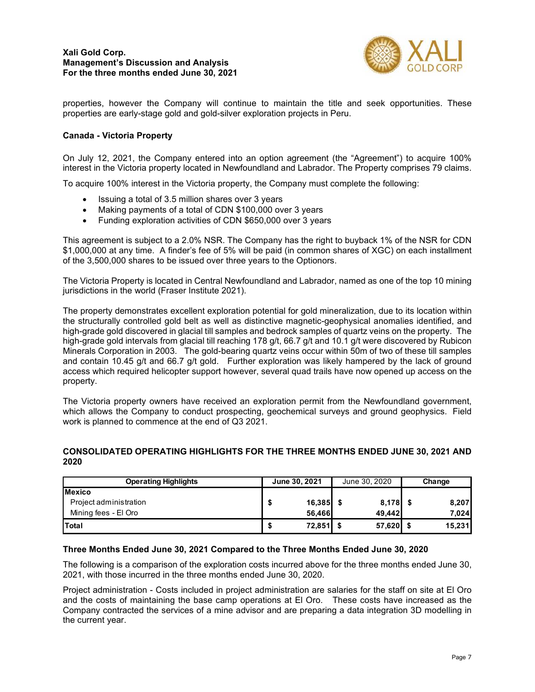

properties, however the Company will continue to maintain the title and seek opportunities. These properties are early-stage gold and gold-silver exploration projects in Peru.

# **Canada - Victoria Property**

On July 12, 2021, the Company entered into an option agreement (the "Agreement") to acquire 100% interest in the Victoria property located in Newfoundland and Labrador. The Property comprises 79 claims.

To acquire 100% interest in the Victoria property, the Company must complete the following:

- Issuing a total of 3.5 million shares over 3 years
- Making payments of a total of CDN \$100,000 over 3 years
- Funding exploration activities of CDN \$650,000 over 3 years

This agreement is subject to a 2.0% NSR. The Company has the right to buyback 1% of the NSR for CDN \$1,000,000 at any time. A finder's fee of 5% will be paid (in common shares of XGC) on each installment of the 3,500,000 shares to be issued over three years to the Optionors.

The Victoria Property is located in Central Newfoundland and Labrador, named as one of the top 10 mining jurisdictions in the world (Fraser Institute 2021).

The property demonstrates excellent exploration potential for gold mineralization, due to its location within the structurally controlled gold belt as well as distinctive magnetic-geophysical anomalies identified, and high-grade gold discovered in glacial till samples and bedrock samples of quartz veins on the property. The high-grade gold intervals from glacial till reaching 178 g/t, 66.7 g/t and 10.1 g/t were discovered by Rubicon Minerals Corporation in 2003. The gold-bearing quartz veins occur within 50m of two of these till samples and contain 10.45 g/t and 66.7 g/t gold. Further exploration was likely hampered by the lack of ground access which required helicopter support however, several quad trails have now opened up access on the property.

The Victoria property owners have received an exploration permit from the Newfoundland government, which allows the Company to conduct prospecting, geochemical surveys and ground geophysics. Field work is planned to commence at the end of Q3 2021.

# **CONSOLIDATED OPERATING HIGHLIGHTS FOR THE THREE MONTHS ENDED JUNE 30, 2021 AND 2020**

| <b>Operating Highlights</b> | June 30, 2021 |        | June 30, 2020 |        | Change |        |
|-----------------------------|---------------|--------|---------------|--------|--------|--------|
| <b>Mexico</b>               |               |        |               |        |        |        |
| Project administration      |               | 16,385 |               | 8,178  |        | 8,207  |
| Mining fees - El Oro        |               | 56.466 |               | 49.442 |        | 7,024  |
| Total                       |               | 72,851 |               | 57,620 |        | 15,231 |

## **Three Months Ended June 30, 2021 Compared to the Three Months Ended June 30, 2020**

The following is a comparison of the exploration costs incurred above for the three months ended June 30, 2021, with those incurred in the three months ended June 30, 2020.

Project administration - Costs included in project administration are salaries for the staff on site at El Oro and the costs of maintaining the base camp operations at El Oro. These costs have increased as the Company contracted the services of a mine advisor and are preparing a data integration 3D modelling in the current year.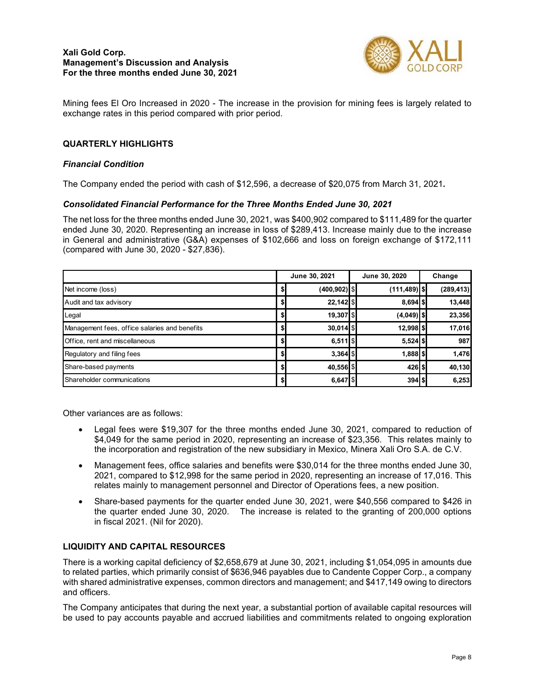

Mining fees El Oro Increased in 2020 - The increase in the provision for mining fees is largely related to exchange rates in this period compared with prior period.

# **QUARTERLY HIGHLIGHTS**

#### *Financial Condition*

The Company ended the period with cash of \$12,596, a decrease of \$20,075 from March 31, 2021**.** 

#### *Consolidated Financial Performance for the Three Months Ended June 30, 2021*

The net loss for the three months ended June 30, 2021, was \$400,902 compared to \$111,489 for the quarter ended June 30, 2020. Representing an increase in loss of \$289,413. Increase mainly due to the increase in General and administrative (G&A) expenses of \$102,666 and loss on foreign exchange of \$172,111 (compared with June 30, 2020 - \$27,836).

|                                               |     | June 30, 2021     |  | June 30, 2020   | Change |            |
|-----------------------------------------------|-----|-------------------|--|-----------------|--------|------------|
| Net income (loss)                             | \$. | $(400, 902)$   \$ |  | $(111, 489)$ \$ |        | (289, 413) |
| Audit and tax advisory                        |     | $22,142$ \$       |  | $8,694$ $$$     |        | 13,448     |
| Legal                                         |     | 19,307 \$         |  | $(4,049)$ \$    |        | 23,356     |
| Management fees, office salaries and benefits | \$  | $30,014$ \$       |  | $12,998$ \$     |        | 17,016     |
| Office, rent and miscellaneous                | \$I | $6,511$ \$        |  | $5,524$ \$      |        | 987        |
| Regulatory and filing fees                    | S   | $3,364$ \$        |  | $1,888$ \$      |        | 1,476      |
| Share-based payments                          |     | 40,556 \$         |  | $426$ \$        |        | 40,130     |
| Shareholder communications                    |     | $6,647$ $$\circ$$ |  | 394S            |        | 6,253      |

Other variances are as follows:

- Legal fees were \$19,307 for the three months ended June 30, 2021, compared to reduction of \$4,049 for the same period in 2020, representing an increase of \$23,356. This relates mainly to the incorporation and registration of the new subsidiary in Mexico, Minera Xali Oro S.A. de C.V.
- Management fees, office salaries and benefits were \$30,014 for the three months ended June 30, 2021, compared to \$12,998 for the same period in 2020, representing an increase of 17,016. This relates mainly to management personnel and Director of Operations fees, a new position.
- Share-based payments for the quarter ended June 30, 2021, were \$40,556 compared to \$426 in the quarter ended June 30, 2020. The increase is related to the granting of 200,000 options in fiscal 2021. (Nil for 2020).

## **LIQUIDITY AND CAPITAL RESOURCES**

There is a working capital deficiency of \$2,658,679 at June 30, 2021, including \$1,054,095 in amounts due to related parties, which primarily consist of \$636,946 payables due to Candente Copper Corp., a company with shared administrative expenses, common directors and management; and \$417,149 owing to directors and officers.

The Company anticipates that during the next year, a substantial portion of available capital resources will be used to pay accounts payable and accrued liabilities and commitments related to ongoing exploration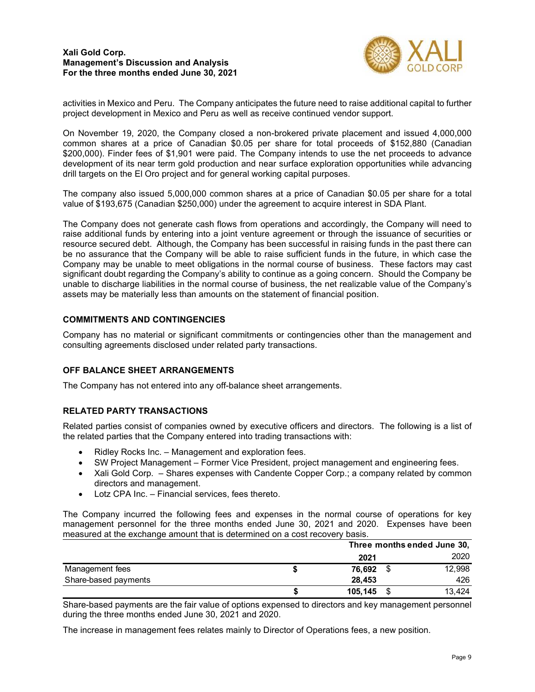

activities in Mexico and Peru. The Company anticipates the future need to raise additional capital to further project development in Mexico and Peru as well as receive continued vendor support.

On November 19, 2020, the Company closed a non-brokered private placement and issued 4,000,000 common shares at a price of Canadian \$0.05 per share for total proceeds of \$152,880 (Canadian \$200,000). Finder fees of \$1,901 were paid. The Company intends to use the net proceeds to advance development of its near term gold production and near surface exploration opportunities while advancing drill targets on the El Oro project and for general working capital purposes.

The company also issued 5,000,000 common shares at a price of Canadian \$0.05 per share for a total value of \$193,675 (Canadian \$250,000) under the agreement to acquire interest in SDA Plant.

The Company does not generate cash flows from operations and accordingly, the Company will need to raise additional funds by entering into a joint venture agreement or through the issuance of securities or resource secured debt. Although, the Company has been successful in raising funds in the past there can be no assurance that the Company will be able to raise sufficient funds in the future, in which case the Company may be unable to meet obligations in the normal course of business. These factors may cast significant doubt regarding the Company's ability to continue as a going concern. Should the Company be unable to discharge liabilities in the normal course of business, the net realizable value of the Company's assets may be materially less than amounts on the statement of financial position.

## **COMMITMENTS AND CONTINGENCIES**

Company has no material or significant commitments or contingencies other than the management and consulting agreements disclosed under related party transactions.

## **OFF BALANCE SHEET ARRANGEMENTS**

The Company has not entered into any off-balance sheet arrangements.

## **RELATED PARTY TRANSACTIONS**

Related parties consist of companies owned by executive officers and directors. The following is a list of the related parties that the Company entered into trading transactions with:

- Ridley Rocks Inc. Management and exploration fees.
- SW Project Management Former Vice President, project management and engineering fees.
- Xali Gold Corp. Shares expenses with Candente Copper Corp.; a company related by common directors and management.
- Lotz CPA Inc. Financial services, fees thereto.

The Company incurred the following fees and expenses in the normal course of operations for key management personnel for the three months ended June 30, 2021 and 2020. Expenses have been measured at the exchange amount that is determined on a cost recovery basis.

|                      |         | Three months ended June 30, |        |  |  |  |
|----------------------|---------|-----------------------------|--------|--|--|--|
|                      | 2021    |                             | 2020   |  |  |  |
| Management fees      | 76,692  |                             | 12,998 |  |  |  |
| Share-based payments | 28.453  |                             | 426    |  |  |  |
|                      | 105,145 |                             | 13.424 |  |  |  |

Share-based payments are the fair value of options expensed to directors and key management personnel during the three months ended June 30, 2021 and 2020.

The increase in management fees relates mainly to Director of Operations fees, a new position.